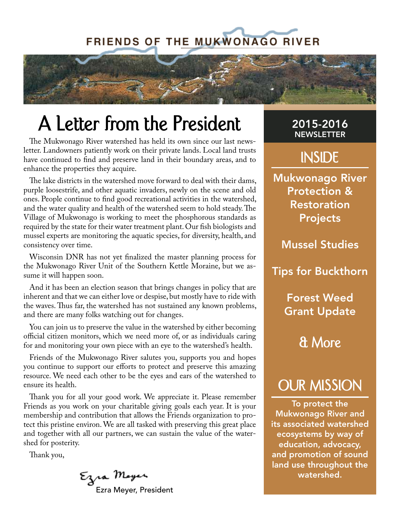# **FRIENDS OF THE MUKWONAGO RIVER**



# **A Letter from the President**

The Mukwonago River watershed has held its own since our last newsletter. Landowners patiently work on their private lands. Local land trusts have continued to find and preserve land in their boundary areas, and to enhance the properties they acquire.

The lake districts in the watershed move forward to deal with their dams, purple loosestrife, and other aquatic invaders, newly on the scene and old ones. People continue to find good recreational activities in the watershed, and the water quality and health of the watershed seem to hold steady. The Village of Mukwonago is working to meet the phosphorous standards as required by the state for their water treatment plant. Our fish biologists and mussel experts are monitoring the aquatic species, for diversity, health, and consistency over time.

Wisconsin DNR has not yet finalized the master planning process for the Mukwonago River Unit of the Southern Kettle Moraine, but we assume it will happen soon.

And it has been an election season that brings changes in policy that are inherent and that we can either love or despise, but mostly have to ride with the waves. Thus far, the watershed has not sustained any known problems, and there are many folks watching out for changes.

You can join us to preserve the value in the watershed by either becoming official citizen monitors, which we need more of, or as individuals caring for and monitoring your own piece with an eye to the watershed's health.

Friends of the Mukwonago River salutes you, supports you and hopes you continue to support our efforts to protect and preserve this amazing resource. We need each other to be the eyes and ears of the watershed to ensure its health.

Thank you for all your good work. We appreciate it. Please remember Friends as you work on your charitable giving goals each year. It is your membership and contribution that allows the Friends organization to protect this pristine environ. We are all tasked with preserving this great place and together with all our partners, we can sustain the value of the watershed for posterity.

Thank you,

Ezra Meyer<br>Ezra Meyer, President

# 2015-2016 **NEWSLETTER**

# **INSIDE**

Mukwonago River Protection & Restoration Projects

Mussel Studies

Tips for Buckthorn

Forest Weed Grant Update

**& More**

# **OUR MISSION**

To protect the Mukwonago River and its associated watershed ecosystems by way of education, advocacy, and promotion of sound land use throughout the watershed.

PAGE 1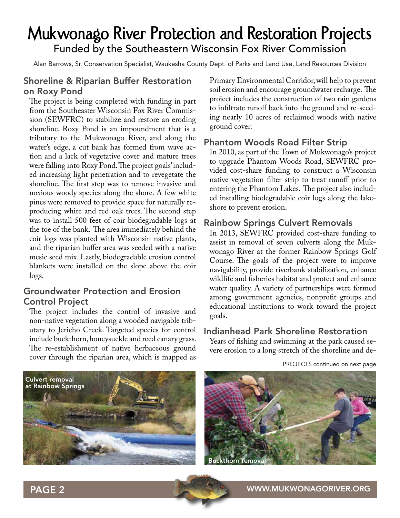# **Mukwonago River Protection and Restoration Projects** Funded by the Southeastern Wisconsin Fox River Commission

Alan Barrows, Sr. Conservation Specialist, Waukesha County Dept. of Parks and Land Use, Land Resources Division

# Shoreline & Riparian Buffer Restoration on Roxy Pond

The project is being completed with funding in part from the Southeaster Wisconsin Fox River Commission (SEWFRC) to stabilize and restore an eroding shoreline. Roxy Pond is an impoundment that is a tributary to the Mukwonago River, and along the water's edge, a cut bank has formed from wave action and a lack of vegetative cover and mature trees were falling into Roxy Pond. The project goals' included increasing light penetration and to revegetate the shoreline. The first step was to remove invasive and noxious woody species along the shore. A few white pines were removed to provide space for naturally reproducing white and red oak trees. The second step was to install 500 feet of coir biodegradable logs at the toe of the bank. The area immediately behind the coir logs was planted with Wisconsin native plants, and the riparian buffer area was seeded with a native mesic seed mix. Lastly, biodegradable erosion control blankets were installed on the slope above the coir logs.

# Groundwater Protection and Erosion Control Project

The project includes the control of invasive and non-native vegetation along a wooded navigable tributary to Jericho Creek. Targeted species for control include buckthorn, honeysuckle and reed canary grass. The re-establishment of native herbaceous ground cover through the riparian area, which is mapped as

Primary Environmental Corridor, will help to prevent soil erosion and encourage groundwater recharge. The project includes the construction of two rain gardens to infiltrate runoff back into the ground and re-seeding nearly 10 acres of reclaimed woods with native ground cover.

# Phantom Woods Road Filter Strip

In 2010, as part of the Town of Mukwonago's project to upgrade Phantom Woods Road, SEWFRC provided cost-share funding to construct a Wisconsin native vegetation filter strip to treat runoff prior to entering the Phantom Lakes. The project also included installing biodegradable coir logs along the lakeshore to prevent erosion.

# Rainbow Springs Culvert Removals

In 2013, SEWFRC provided cost-share funding to assist in removal of seven culverts along the Mukwonago River at the former Rainbow Springs Golf Course. The goals of the project were to improve navigability, provide riverbank stabilization, enhance wildlife and fisheries habitat and protect and enhance water quality. A variety of partnerships were formed among government agencies, nonprofit groups and educational institutions to work toward the project goals.

## Indianhead Park Shoreline Restoration

Years of fishing and swimming at the park caused severe erosion to a long stretch of the shoreline and de-



PROJECTS continued on next page



### PAGE 2 WWW.MUKWONAGORIVER.ORG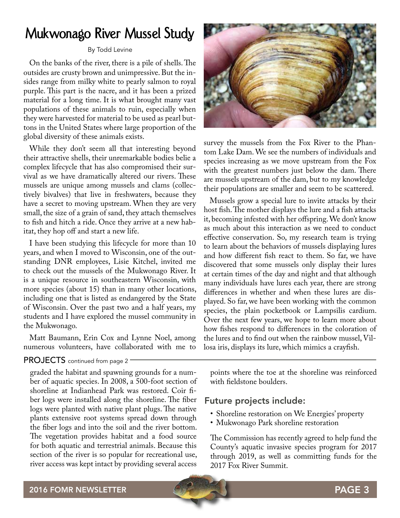# **Mukwonago River Mussel Study**

#### By Todd Levine

On the banks of the river, there is a pile of shells. The outsides are crusty brown and unimpressive. But the insides range from milky white to pearly salmon to royal purple. This part is the nacre, and it has been a prized material for a long time. It is what brought many vast populations of these animals to ruin, especially when they were harvested for material to be used as pearl buttons in the United States where large proportion of the global diversity of these animals exists.

While they don't seem all that interesting beyond their attractive shells, their unremarkable bodies belie a complex lifecycle that has also compromised their survival as we have dramatically altered our rivers. These mussels are unique among mussels and clams (collectively bivalves) that live in freshwaters, because they have a secret to moving upstream. When they are very small, the size of a grain of sand, they attach themselves to fish and hitch a ride. Once they arrive at a new habitat, they hop off and start a new life.

I have been studying this lifecycle for more than 10 years, and when I moved to Wisconsin, one of the outstanding DNR employees, Lisie Kitchel, invited me to check out the mussels of the Mukwonago River. It is a unique resource in southeastern Wisconsin, with more species (about 15) than in many other locations, including one that is listed as endangered by the State of Wisconsin. Over the past two and a half years, my students and I have explored the mussel community in the Mukwonago.

Matt Baumann, Erin Cox and Lynne Noel, among numerous volunteers, have collaborated with me to

### PROJECTS continued from page 2

graded the habitat and spawning grounds for a number of aquatic species. In 2008, a 500-foot section of shoreline at Indianhead Park was restored. Coir fiber logs were installed along the shoreline. The fiber logs were planted with native plant plugs. The native plants extensive root systems spread down through the fiber logs and into the soil and the river bottom. The vegetation provides habitat and a food source for both aquatic and terrestrial animals. Because this section of the river is so popular for recreational use, river access was kept intact by providing several access



survey the mussels from the Fox River to the Phantom Lake Dam. We see the numbers of individuals and species increasing as we move upstream from the Fox with the greatest numbers just below the dam. There are mussels upstream of the dam, but to my knowledge their populations are smaller and seem to be scattered.

Mussels grow a special lure to invite attacks by their host fish. The mother displays the lure and a fish attacks it, becoming infested with her offspring. We don't know as much about this interaction as we need to conduct effective conservation. So, my research team is trying to learn about the behaviors of mussels displaying lures and how different fish react to them. So far, we have discovered that some mussels only display their lures at certain times of the day and night and that although many individuals have lures each year, there are strong differences in whether and when these lures are displayed. So far, we have been working with the common species, the plain pocketbook or Lampsilis cardium. Over the next few years, we hope to learn more about how fishes respond to differences in the coloration of the lures and to find out when the rainbow mussel, Villosa iris, displays its lure, which mimics a crayfish.

points where the toe at the shoreline was reinforced with fieldstone boulders.

## Future projects include:

- Shoreline restoration on We Energies' property
- Mukwonago Park shoreline restoration

The Commission has recently agreed to help fund the County's aquatic invasive species program for 2017 through 2019, as well as committing funds for the 2017 Fox River Summit.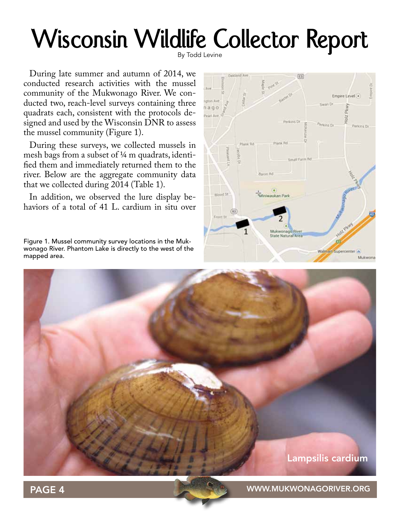# Wisconsin Wildlife Collector Report

During late summer and autumn of 2014, we conducted research activities with the mussel community of the Mukwonago River. We conducted two, reach-level surveys containing three quadrats each, consistent with the protocols designed and used by the Wisconsin DNR to assess the mussel community (Figure 1).

During these surveys, we collected mussels in mesh bags from a subset of ¼ m quadrats, identified them and immediately returned them to the river. Below are the aggregate community data that we collected during 2014 (Table 1).

In addition, we observed the lure display behaviors of a total of 41 L. cardium in situ over

Figure 1. Mussel community survey locations in the Mukwonago River. Phantom Lake is directly to the west of the mapped area.





PAGE 4 WWW.MUKWONAGORIVER.ORG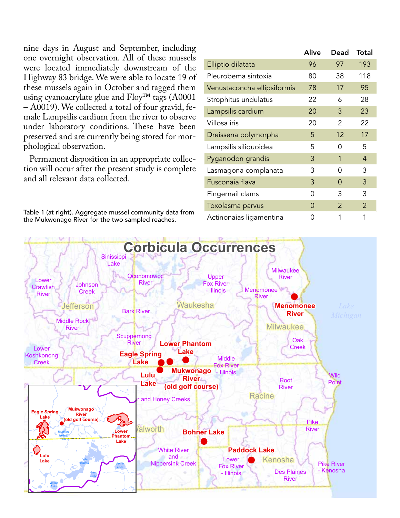nine days in August and September, including one overnight observation. All of these mussels were located immediately downstream of the Highway 83 bridge. We were able to locate 19 of these mussels again in October and tagged them using cyanoacrylate glue and Floy™ tags (A0001 – A0019). We collected a total of four gravid, female Lampsilis cardium from the river to observe under laboratory conditions. These have been preserved and are currently being stored for morphological observation.

Permanent disposition in an appropriate collection will occur after the present study is complete and all relevant data collected.

Table 1 (at right). Aggregate mussel community data from the Mukwonago River for the two sampled reaches.

|                             | Alive | Dead           | Total          |
|-----------------------------|-------|----------------|----------------|
| Elliptio dilatata           | 96    | 97             | 193            |
| Pleurobema sintoxia         | 80    | 38             | 118            |
| Venustaconcha ellipsiformis | 78    | 17             | 95             |
| Strophitus undulatus        | 22    | 6              | 28             |
| Lampsilis cardium           | 20    | 3              | 23             |
| Villosa iris                | 20    | 2              | 22             |
| Dreissena polymorpha        | 5     | 12             | 17             |
| Lampsilis siliquoidea       | 5     | ი              | 5              |
| Pyganodon grandis           | 3     | 1              | 4              |
| Lasmagona complanata        | 3     | ი              | 3              |
| Fusconaia flava             | 3     | 0              | 3              |
| Fingernail clams            | Ω     | 3              | 3              |
| Toxolasma parvus            | O     | $\overline{2}$ | $\overline{2}$ |
| Actinonaias ligamentina     | 0     | 1              | 1              |

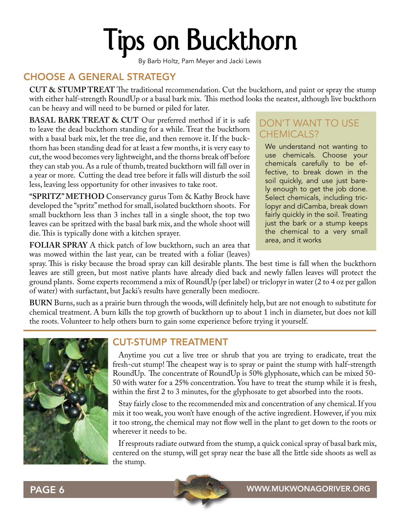# **Tips on Buckthorn**

By Barb Holtz, Pam Meyer and Jacki Lewis

# CHOOSE A GENERAL STRATEGY

**CUT & STUMP TREAT** The traditional recommendation. Cut the buckthorn, and paint or spray the stump with either half-strength RoundUp or a basal bark mix. This method looks the neatest, although live buckthorn can be heavy and will need to be burned or piled for later.

**BASAL BARK TREAT & CUT** Our preferred method if it is safe to leave the dead buckthorn standing for a while. Treat the buckthorn with a basal bark mix, let the tree die, and then remove it. If the buckthorn has been standing dead for at least a few months, it is very easy to cut, the wood becomes very lightweight, and the thorns break off before they can stab you. As a rule of thumb, treated buckthorn will fall over in a year or more. Cutting the dead tree before it falls will disturb the soil less, leaving less opportunity for other invasives to take root.

**"SPRITZ" METHOD** Conservancy gurus Tom & Kathy Brock have developed the "spritz" method for small, isolated buckthorn shoots. For small buckthorn less than 3 inches tall in a single shoot, the top two leaves can be spritzed with the basal bark mix, and the whole shoot will die. This is typically done with a kitchen sprayer.

**FOLIAR SPRAY** A thick patch of low buckthorn, such an area that was mowed within the last year, can be treated with a foliar (leaves)

# DON'T WANT TO USE CHEMICALS?

We understand not wanting to use chemicals. Choose your chemicals carefully to be effective, to break down in the soil quickly, and use just barely enough to get the job done. Select chemicals, including triclopyr and diCamba, break down fairly quickly in the soil. Treating just the bark or a stump keeps the chemical to a very small area, and it works

spray. This is risky because the broad spray can kill desirable plants. The best time is fall when the buckthorn leaves are still green, but most native plants have already died back and newly fallen leaves will protect the ground plants. Some experts recommend a mix of RoundUp (per label) or triclopyr in water (2 to 4 oz per gallon of water) with surfactant, but Jacki's results have generally been mediocre.

**BURN** Burns, such as a prairie burn through the woods, will definitely help, but are not enough to substitute for chemical treatment. A burn kills the top growth of buckthorn up to about 1 inch in diameter, but does not kill the roots. Volunteer to help others burn to gain some experience before trying it yourself.



# CUT-STUMP TREATMENT

Anytime you cut a live tree or shrub that you are trying to eradicate, treat the fresh-cut stump! The cheapest way is to spray or paint the stump with half-strength RoundUp. The concentrate of RoundUp is 50% glyphosate, which can be mixed 50- 50 with water for a 25% concentration. You have to treat the stump while it is fresh, within the first 2 to 3 minutes, for the glyphosate to get absorbed into the roots.

Stay fairly close to the recommended mix and concentration of any chemical. If you mix it too weak, you won't have enough of the active ingredient. However, if you mix it too strong, the chemical may not flow well in the plant to get down to the roots or wherever it needs to be.

If resprouts radiate outward from the stump, a quick conical spray of basal bark mix, centered on the stump, will get spray near the base all the little side shoots as well as the stump.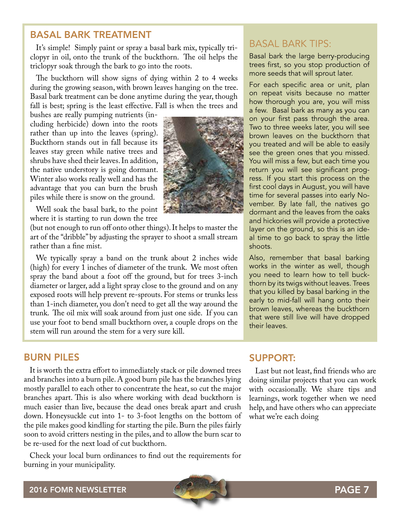# BASAL BARK TREATMENT

It's simple! Simply paint or spray a basal bark mix, typically triclopyr in oil, onto the trunk of the buckthorn. The oil helps the triclopyr soak through the bark to go into the roots.

The buckthorn will show signs of dying within 2 to 4 weeks during the growing season, with brown leaves hanging on the tree. Basal bark treatment can be done anytime during the year, though fall is best; spring is the least effective. Fall is when the trees and

bushes are really pumping nutrients (including herbicide) down into the roots rather than up into the leaves (spring). Buckthorn stands out in fall because its leaves stay green while native trees and shrubs have shed their leaves. In addition, the native understory is going dormant. Winter also works really well and has the advantage that you can burn the brush piles while there is snow on the ground.

Well soak the basal bark, to the point where it is starting to run down the tree

(but not enough to run off onto other things). It helps to master the art of the "dribble" by adjusting the sprayer to shoot a small stream rather than a fine mist.

We typically spray a band on the trunk about 2 inches wide (high) for every 1 inches of diameter of the trunk. We most often spray the band about a foot off the ground, but for trees 3-inch diameter or larger, add a light spray close to the ground and on any exposed roots will help prevent re-sprouts. For stems or trunks less than 1-inch diameter, you don't need to get all the way around the trunk. The oil mix will soak around from just one side. If you can use your foot to bend small buckthorn over, a couple drops on the stem will run around the stem for a very sure kill.

# BURN PILES

It is worth the extra effort to immediately stack or pile downed trees and branches into a burn pile. A good burn pile has the branches lying mostly parallel to each other to concentrate the heat, so cut the major branches apart. This is also where working with dead buckthorn is much easier than live, because the dead ones break apart and crush down. Honeysuckle cut into 1- to 3-foot lengths on the bottom of the pile makes good kindling for starting the pile. Burn the piles fairly soon to avoid critters nesting in the piles, and to allow the burn scar to be re-used for the next load of cut buckthorn.

Check your local burn ordinances to find out the requirements for burning in your municipality.



# BASAL BARK TIPS:

Basal bark the large berry-producing trees first, so you stop production of more seeds that will sprout later.

For each specific area or unit, plan on repeat visits because no matter how thorough you are, you will miss a few. Basal bark as many as you can on your first pass through the area. Two to three weeks later, you will see brown leaves on the buckthorn that you treated and will be able to easily see the green ones that you missed. You will miss a few, but each time you return you will see significant progress. If you start this process on the first cool days in August, you will have time for several passes into early November. By late fall, the natives go dormant and the leaves from the oaks and hickories will provide a protective layer on the ground, so this is an ideal time to go back to spray the little shoots.

Also, remember that basal barking works in the winter as well, though you need to learn how to tell buckthorn by its twigs without leaves. Trees that you killed by basal barking in the early to mid-fall will hang onto their brown leaves, whereas the buckthorn that were still live will have dropped their leaves.

# SUPPORT:

Last but not least, find friends who are doing similar projects that you can work with occasionally. We share tips and learnings, work together when we need help, and have others who can appreciate what we're each doing

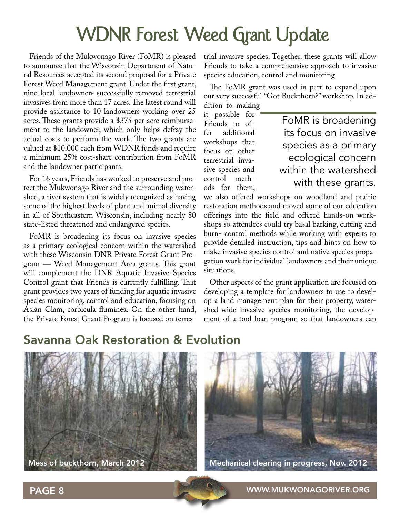# **WDNR Forest Weed Grant Update**

Friends of the Mukwonago River (FoMR) is pleased to announce that the Wisconsin Department of Natural Resources accepted its second proposal for a Private Forest Weed Management grant. Under the first grant, nine local landowners successfully removed terrestrial invasives from more than 17 acres. The latest round will provide assistance to 10 landowners working over 25 acres. These grants provide a \$375 per acre reimbursement to the landowner, which only helps defray the actual costs to perform the work. The two grants are valued at \$10,000 each from WDNR funds and require a minimum 25% cost-share contribution from FoMR and the landowner participants.

For 16 years, Friends has worked to preserve and protect the Mukwonago River and the surrounding watershed, a river system that is widely recognized as having some of the highest levels of plant and animal diversity in all of Southeastern Wisconsin, including nearly 80 state-listed threatened and endangered species.

FoMR is broadening its focus on invasive species as a primary ecological concern within the watershed with these Wisconsin DNR Private Forest Grant Program — Weed Management Area grants. This grant will complement the DNR Aquatic Invasive Species Control grant that Friends is currently fulfilling. That grant provides two years of funding for aquatic invasive species monitoring, control and education, focusing on Asian Clam, corbicula fluminea. On the other hand, the Private Forest Grant Program is focused on terrestrial invasive species. Together, these grants will allow Friends to take a comprehensive approach to invasive species education, control and monitoring.

The FoMR grant was used in part to expand upon our very successful "Got Buckthorn?" workshop. In addition to making

it possible for Friends to of-<br>fer additional additional workshops that focus on other terrestrial invasive species and control methods for them,

FoMR is broadening its focus on invasive species as a primary ecological concern within the watershed with these grants.

we also offered workshops on woodland and prairie restoration methods and moved some of our education offerings into the field and offered hands-on workshops so attendees could try basal barking, cutting and burn- control methods while working with experts to provide detailed instruction, tips and hints on how to make invasive species control and native species propagation work for individual landowners and their unique situations.

Other aspects of the grant application are focused on developing a template for landowners to use to develop a land management plan for their property, watershed-wide invasive species monitoring, the development of a tool loan program so that landowners can

# Savanna Oak Restoration & Evolution



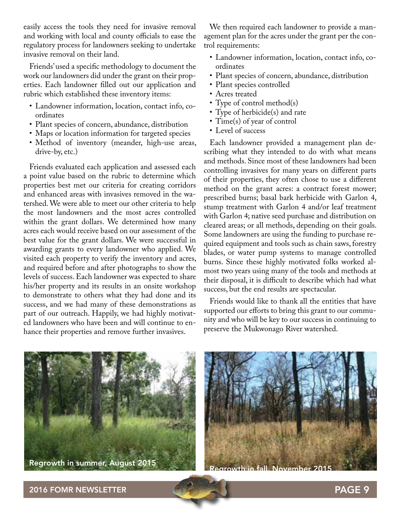easily access the tools they need for invasive removal and working with local and county officials to ease the regulatory process for landowners seeking to undertake invasive removal on their land.

Friends' used a specific methodology to document the work our landowners did under the grant on their properties. Each landowner filled out our application and rubric which established these inventory items:

- Landowner information, location, contact info, coordinates
- Plant species of concern, abundance, distribution
- Maps or location information for targeted species
- Method of inventory (meander, high-use areas, drive-by, etc.)

Friends evaluated each application and assessed each a point value based on the rubric to determine which properties best met our criteria for creating corridors and enhanced areas with invasives removed in the watershed. We were able to meet our other criteria to help the most landowners and the most acres controlled within the grant dollars. We determined how many acres each would receive based on our assessment of the best value for the grant dollars. We were successful in awarding grants to every landowner who applied. We visited each property to verify the inventory and acres, and required before and after photographs to show the levels of success. Each landowner was expected to share his/her property and its results in an onsite workshop to demonstrate to others what they had done and its success, and we had many of these demonstrations as part of our outreach. Happily, we had highly motivated landowners who have been and will continue to enhance their properties and remove further invasives.

We then required each landowner to provide a management plan for the acres under the grant per the control requirements:

- Landowner information, location, contact info, coordinates
- Plant species of concern, abundance, distribution
- Plant species controlled
- Acres treated
- Type of control method(s)
- Type of herbicide(s) and rate
- Time(s) of year of control
- Level of success

Each landowner provided a management plan describing what they intended to do with what means and methods. Since most of these landowners had been controlling invasives for many years on different parts of their properties, they often chose to use a different method on the grant acres: a contract forest mower; prescribed burns; basal bark herbicide with Garlon 4, stump treatment with Garlon 4 and/or leaf treatment with Garlon 4; native seed purchase and distribution on cleared areas; or all methods, depending on their goals. Some landowners are using the funding to purchase required equipment and tools such as chain saws, forestry blades, or water pump systems to manage controlled burns. Since these highly motivated folks worked almost two years using many of the tools and methods at their disposal, it is difficult to describe which had what success, but the end results are spectacular.

Friends would like to thank all the entities that have supported our efforts to bring this grant to our community and who will be key to our success in continuing to preserve the Mukwonago River watershed.



Regrowth in summer, August 2015



2016 FOMR NEWSLETTER PAGE 9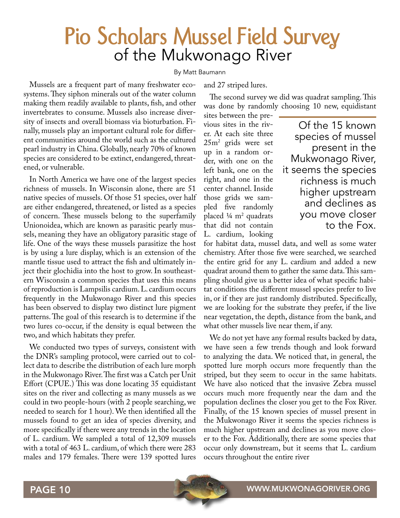# **Pio Scholars Mussel Field Survey** of the Mukwonago River

#### By Matt Baumann

Mussels are a frequent part of many freshwater ecosystems. They siphon minerals out of the water column making them readily available to plants, fish, and other invertebrates to consume. Mussels also increase diversity of insects and overall biomass via bioturbation. Finally, mussels play an important cultural role for different communities around the world such as the cultured pearl industry in China. Globally, nearly 70% of known species are considered to be extinct, endangered, threatened, or vulnerable.

In North America we have one of the largest species richness of mussels. In Wisconsin alone, there are 51 native species of mussels. Of those 51 species, over half are either endangered, threatened, or listed as a species of concern. These mussels belong to the superfamily Unionoidea, which are known as parasitic pearly mussels, meaning they have an obligatory parasitic stage of life. One of the ways these mussels parasitize the host is by using a lure display, which is an extension of the mantle tissue used to attract the fish and ultimately inject their glochidia into the host to grow. In southeastern Wisconsin a common species that uses this means of reproduction is Lampsilis cardium. L. cardium occurs frequently in the Mukwonago River and this species has been observed to display two distinct lure pigment patterns. The goal of this research is to determine if the two lures co-occur, if the density is equal between the two, and which habitats they prefer.

We conducted two types of surveys, consistent with the DNR's sampling protocol, were carried out to collect data to describe the distribution of each lure morph in the Mukwonago River. The first was a Catch per Unit Effort (CPUE.) This was done locating 35 equidistant sites on the river and collecting as many mussels as we could in two people-hours (with 2 people searching, we needed to search for 1 hour). We then identified all the mussels found to get an idea of species diversity, and more specifically if there were any trends in the location of L. cardium. We sampled a total of 12,309 mussels with a total of 463 L. cardium, of which there were 283 males and 179 females. There were 139 spotted lures

### and 27 striped lures.

The second survey we did was quadrat sampling. This was done by randomly choosing 10 new, equidistant

sites between the previous sites in the river. At each site three 25m2 grids were set up in a random order, with one on the left bank, one on the right, and one in the center channel. Inside those grids we sampled five randomly placed ¼ m2 quadrats that did not contain L. cardium, looking

Of the 15 known species of mussel present in the Mukwonago River, it seems the species richness is much higher upstream and declines as you move closer to the Fox.

for habitat data, mussel data, and well as some water chemistry. After those five were searched, we searched the entire grid for any L. cardium and added a new quadrat around them to gather the same data. This sampling should give us a better idea of what specific habitat conditions the different mussel species prefer to live in, or if they are just randomly distributed. Specifically, we are looking for the substrate they prefer, if the live near vegetation, the depth, distance from the bank, and what other mussels live near them, if any.

We do not yet have any formal results backed by data, we have seen a few trends though and look forward to analyzing the data. We noticed that, in general, the spotted lure morph occurs more frequently than the striped, but they seem to occur in the same habitats. We have also noticed that the invasive Zebra mussel occurs much more frequently near the dam and the population declines the closer you get to the Fox River. Finally, of the 15 known species of mussel present in the Mukwonago River it seems the species richness is much higher upstream and declines as you move closer to the Fox. Additionally, there are some species that occur only downstream, but it seems that L. cardium occurs throughout the entire river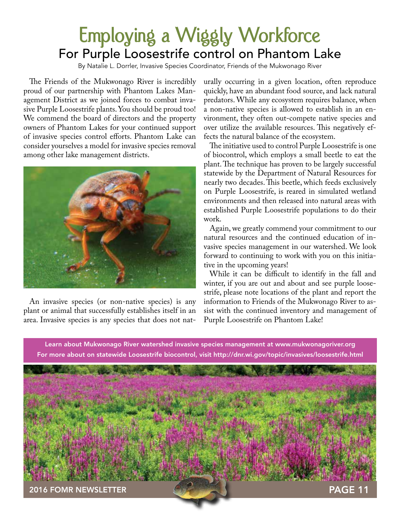# **Employing a Wiggly Workforce** For Purple Loosestrife control on Phantom Lake

By Natalie L. Dorrler, Invasive Species Coordinator, Friends of the Mukwonago River

The Friends of the Mukwonago River is incredibly proud of our partnership with Phantom Lakes Management District as we joined forces to combat invasive Purple Loosestrife plants. You should be proud too! We commend the board of directors and the property owners of Phantom Lakes for your continued support of invasive species control efforts. Phantom Lake can consider yourselves a model for invasive species removal among other lake management districts.



An invasive species (or non-native species) is any plant or animal that successfully establishes itself in an area. Invasive species is any species that does not naturally occurring in a given location, often reproduce quickly, have an abundant food source, and lack natural predators. While any ecosystem requires balance, when a non-native species is allowed to establish in an environment, they often out-compete native species and over utilize the available resources. This negatively effects the natural balance of the ecosystem.

The initiative used to control Purple Loosestrife is one of biocontrol, which employs a small beetle to eat the plant. The technique has proven to be largely successful statewide by the Department of Natural Resources for nearly two decades. This beetle, which feeds exclusively on Purple Loosestrife, is reared in simulated wetland environments and then released into natural areas with established Purple Loosestrife populations to do their work.

Again, we greatly commend your commitment to our natural resources and the continued education of invasive species management in our watershed. We look forward to continuing to work with you on this initiative in the upcoming years!

While it can be difficult to identify in the fall and winter, if you are out and about and see purple loosestrife, please note locations of the plant and report the information to Friends of the Mukwonago River to assist with the continued inventory and management of Purple Loosestrife on Phantom Lake!

Learn about Mukwonago River watershed invasive species management at www.mukwonagoriver.org For more about on statewide Loosestrife biocontrol, visit http://dnr.wi.gov/topic/invasives/loosestrife.html

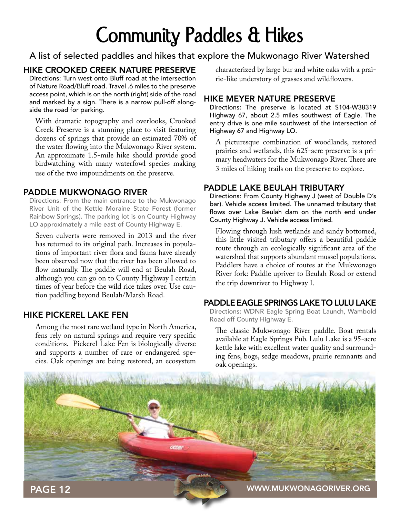# **Community Paddles & Hikes**

# A list of selected paddles and hikes that explore the Mukwonago River Watershed

# HIKE CROOKED CREEK NATURE PRESERVE

Directions: Turn west onto Bluff road at the intersection of Nature Road/Bluff road. Travel .6 miles to the preserve access point, which is on the north (right) side of the road and marked by a sign. There is a narrow pull-off alongside the road for parking.

With dramatic topography and overlooks, Crooked Creek Preserve is a stunning place to visit featuring dozens of springs that provide an estimated 70% of the water flowing into the Mukwonago River system. An approximate 1.5-mile hike should provide good birdwatching with many waterfowl species making use of the two impoundments on the preserve.

## PADDLE MUKWONAGO RIVER

Directions: From the main entrance to the Mukwonago River Unit of the Kettle Moraine State Forest (former Rainbow Springs). The parking lot is on County Highway LO approximately a mile east of County Highway E.

Seven culverts were removed in 2013 and the river has returned to its original path. Increases in populations of important river flora and fauna have already been observed now that the river has been allowed to flow naturally. The paddle will end at Beulah Road, although you can go on to County Highway I certain times of year before the wild rice takes over. Use caution paddling beyond Beulah/Marsh Road.

## HIKE PICKEREL LAKE FEN

Among the most rare wetland type in North America, fens rely on natural springs and require very specific conditions. Pickerel Lake Fen is biologically diverse and supports a number of rare or endangered species. Oak openings are being restored, an ecosystem

characterized by large bur and white oaks with a prairie-like understory of grasses and wildflowers.

## HIKE MEYER NATURE PRESERVE

Directions: The preserve is located at S104-W38319 Highway 67, about 2.5 miles southwest of Eagle. The entry drive is one mile southwest of the intersection of Highway 67 and Highway LO.

A picturesque combination of woodlands, restored prairies and wetlands, this 625-acre preserve is a primary headwaters for the Mukwonago River. There are 3 miles of hiking trails on the preserve to explore.

## PADDLE LAKE BEULAH TRIBUTARY

Directions: From County Highway J (west of Double D's bar). Vehicle access limited. The unnamed tributary that flows over Lake Beulah dam on the north end under County Highway J. Vehicle access limited.

Flowing through lush wetlands and sandy bottomed, this little visited tributary offers a beautiful paddle route through an ecologically significant area of the watershed that supports abundant mussel populations. Paddlers have a choice of routes at the Mukwonago River fork: Paddle upriver to Beulah Road or extend the trip downriver to Highway I.

### PADDLE EAGLE SPRINGS LAKE TO LULU LAKE

Directions: WDNR Eagle Spring Boat Launch, Wambold Road off County Highway E.

The classic Mukwonago River paddle. Boat rentals available at Eagle Springs Pub. Lulu Lake is a 95-acre kettle lake with excellent water quality and surrounding fens, bogs, sedge meadows, prairie remnants and oak openings.

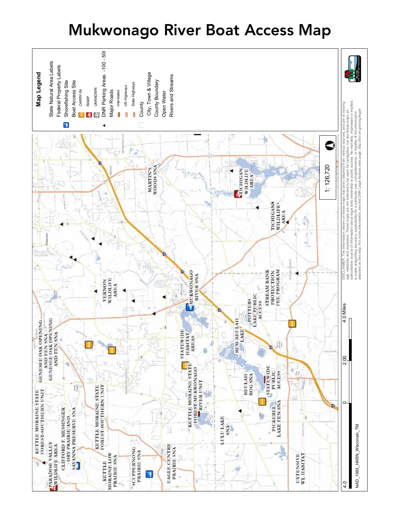# Mukwonago River Boat Access Map

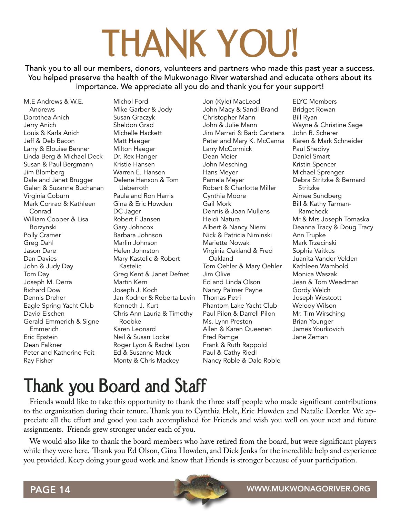# **THANK YOU!**

Thank you to all our members, donors, volunteers and partners who made this past year a success. You helped preserve the health of the Mukwonago River watershed and educate others about its importance. We appreciate all you do and thank you for your support!

M.E Andrews & W.E. Andrews Dorothea Anich Jerry Anich Louis & Karla Anich Jeff & Deb Bacon Larry & Elouise Benner Linda Berg & Michael Deck Susan & Paul Bergmann Jim Blomberg Dale and Janet Brugger Galen & Suzanne Buchanan Virginia Coburn Mark Conrad & Kathleen Conrad William Cooper & Lisa Borzynski Polly Cramer Greg Dahl Jason Dare Dan Davies John & Judy Day Tom Day Joseph M. Derra Richard Dow Dennis Dreher Eagle Spring Yacht Club David Eischen Gerald Emmerich & Signe Emmerich Eric Epstein Dean Falkner Peter and Katherine Feit Ray Fisher

Michol Ford Mike Garber & Jody Susan Graczyk Sheldon Grad Michelle Hackett Matt Haeger Milton Haeger Dr. Rex Hanger Kristie Hansen Warren E. Hansen Delene Hanson & Tom Ueberroth Paula and Ron Harris Gina & Eric Howden DC Jager Robert F Jansen Gary Johncox Barbara Johnson Marlin Johnson Helen Johnston Mary Kastelic & Robert Kastelic Greg Kent & Janet Defnet Martin Kern Joseph J. Koch Jan Kodner & Roberta Levin Kenneth J. Kurt Chris Ann Lauria & Timothy Roebke Karen Leonard Neil & Susan Locke Roger Lyon & Rachel Lyon Ed & Susanne Mack Monty & Chris Mackey

Jon (Kyle) MacLeod John Macy & Sandi Brand Christopher Mann John & Julie Mann Jim Marrari & Barb Carstens Peter and Mary K. McCanna Larry McCormick Dean Meier John Mesching Hans Meyer Pamela Meyer Robert & Charlotte Miller Cynthia Moore Gail Mork Dennis & Joan Mullens Heidi Natura Albert & Nancy Niemi Nick & Patricia Niminski Mariette Nowak Virginia Oakland & Fred Oakland Tom Oehler & Mary Oehler Jim Olive Ed and Linda Olson Nancy Palmer Payne Thomas Petri Phantom Lake Yacht Club Paul Pilon & Darrell Pilon Ms. Lynn Preston Allen & Karen Queenen Fred Ramge Frank & Ruth Rappold Paul & Cathy Riedl Nancy Roble & Dale Roble

ELYC Members Bridget Rowan Bill Ryan Wayne & Christine Sage John R. Scherer Karen & Mark Schneider Paul Shedivy Daniel Smart Kristin Spencer Michael Sprenger Debra Stritzke & Bernard Stritzke Aimee Sundberg Bill & Kathy Tarman-Ramcheck Mr & Mrs Joseph Tomaska Deanna Tracy & Doug Tracy Ann Trupke Mark Trzecinski Sophia Vaitkus Juanita Vander Velden Kathleen Wambold Monica Waszak Jean & Tom Weedman Gordy Welch Joseph Westcott Welody Wilson Mr. Tim Wirsching Brian Younger James Yourkovich Jane Zeman

# **Thank you Board and Staff**

Friends would like to take this opportunity to thank the three staff people who made significant contributions to the organization during their tenure. Thank you to Cynthia Holt, Eric Howden and Natalie Dorrler. We appreciate all the effort and good you each accomplished for Friends and wish you well on your next and future assignments. Friends grew stronger under each of you.

We would also like to thank the board members who have retired from the board, but were significant players while they were here. Thank you Ed Olson, Gina Howden, and Dick Jenks for the incredible help and experience you provided. Keep doing your good work and know that Friends is stronger because of your participation.

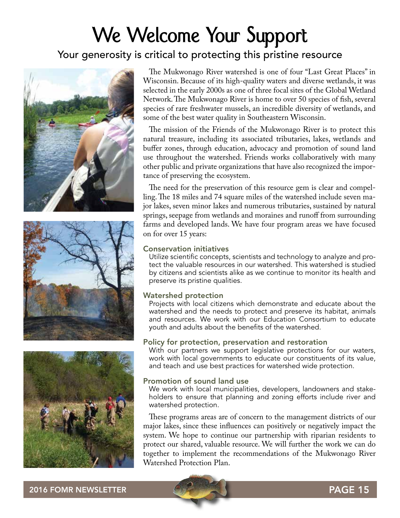# **We Welcome Your Support**

# Your generosity is critical to protecting this pristine resource







The Mukwonago River watershed is one of four "Last Great Places" in Wisconsin. Because of its high-quality waters and diverse wetlands, it was selected in the early 2000s as one of three focal sites of the Global Wetland Network. The Mukwonago River is home to over 50 species of fish, several species of rare freshwater mussels, an incredible diversity of wetlands, and some of the best water quality in Southeastern Wisconsin.

The mission of the Friends of the Mukwonago River is to protect this natural treasure, including its associated tributaries, lakes, wetlands and buffer zones, through education, advocacy and promotion of sound land use throughout the watershed. Friends works collaboratively with many other public and private organizations that have also recognized the importance of preserving the ecosystem.

The need for the preservation of this resource gem is clear and compelling. The 18 miles and 74 square miles of the watershed include seven major lakes, seven minor lakes and numerous tributaries, sustained by natural springs, seepage from wetlands and moraines and runoff from surrounding farms and developed lands. We have four program areas we have focused on for over 15 years:

### Conservation initiatives

Utilize scientific concepts, scientists and technology to analyze and protect the valuable resources in our watershed. This watershed is studied by citizens and scientists alike as we continue to monitor its health and preserve its pristine qualities.

### Watershed protection

Projects with local citizens which demonstrate and educate about the watershed and the needs to protect and preserve its habitat, animals and resources. We work with our Education Consortium to educate youth and adults about the benefits of the watershed.

### Policy for protection, preservation and restoration

With our partners we support legislative protections for our waters, work with local governments to educate our constituents of its value, and teach and use best practices for watershed wide protection.

### Promotion of sound land use

We work with local municipalities, developers, landowners and stakeholders to ensure that planning and zoning efforts include river and watershed protection.

These programs areas are of concern to the management districts of our major lakes, since these influences can positively or negatively impact the system. We hope to continue our partnership with riparian residents to protect our shared, valuable resource. We will further the work we can do together to implement the recommendations of the Mukwonago River Watershed Protection Plan.